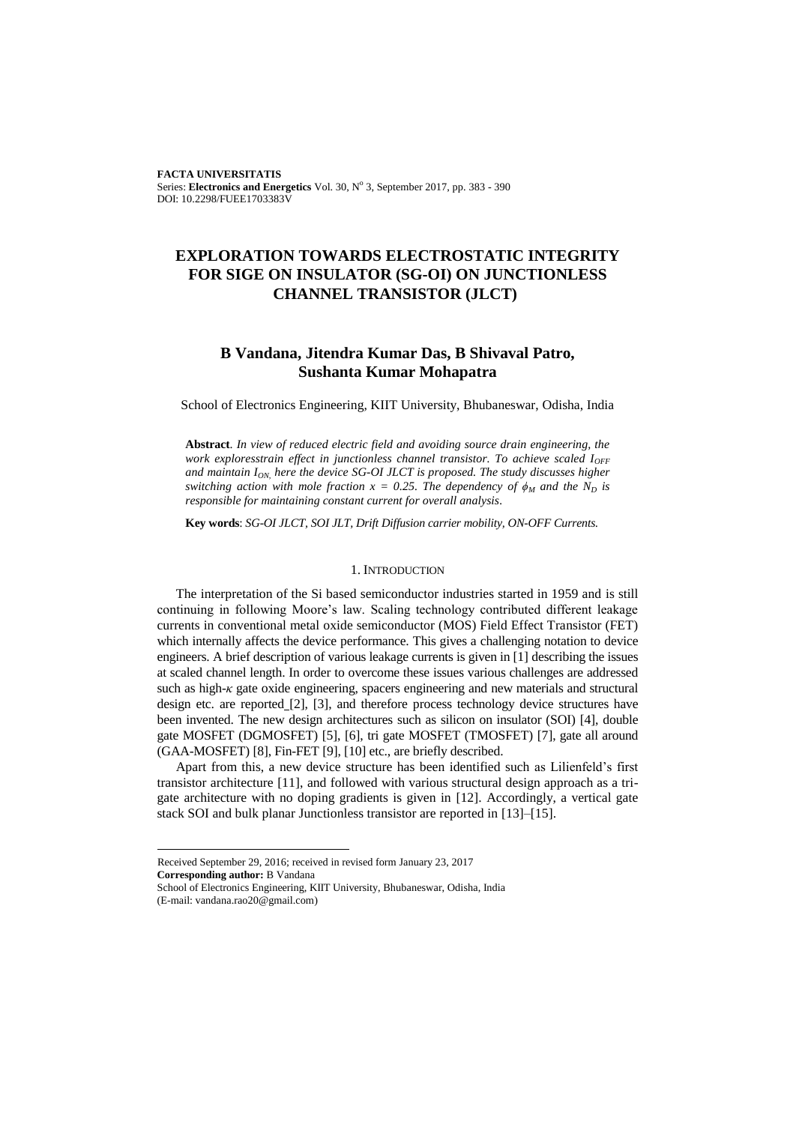**FACTA UNIVERSITATIS** Series: Electronics and Energetics Vol. 30, Nº 3, September 2017, pp. 383 - 390 DOI: 10.2298/FUEE1703383V

# **EXPLORATION TOWARDS ELECTROSTATIC INTEGRITY FOR SIGE ON INSULATOR (SG-OI) ON JUNCTIONLESS CHANNEL TRANSISTOR (JLCT)**

# **B Vandana, Jitendra Kumar Das, B Shivaval Patro, Sushanta Kumar Mohapatra**

School of Electronics Engineering, KIIT University, Bhubaneswar, Odisha, India

**Abstract**. *In view of reduced electric field and avoiding source drain engineering, the work exploresstrain effect in junctionless channel transistor. To achieve scaled I<sub>OFF</sub> and maintain ION, here the device SG-OI JLCT is proposed. The study discusses higher switching action with mole fraction*  $x = 0.25$ . The dependency of  $\phi_M$  and the  $N_D$  is *responsible for maintaining constant current for overall analysis.*

**Key words**: *SG-OI JLCT, SOI JLT, Drift Diffusion carrier mobility, ON-OFF Currents.*

## 1. INTRODUCTION

The interpretation of the Si based semiconductor industries started in 1959 and is still continuing in following Moore's law. Scaling technology contributed different leakage currents in conventional metal oxide semiconductor (MOS) Field Effect Transistor (FET) which internally affects the device performance. This gives a challenging notation to device engineers. A brief description of various leakage currents is given in [1] describing the issues at scaled channel length. In order to overcome these issues various challenges are addressed such as high-*κ* gate oxide engineering, spacers engineering and new materials and structural design etc. are reported [2], [3], and therefore process technology device structures have been invented. The new design architectures such as silicon on insulator (SOI) [4], double gate MOSFET (DGMOSFET) [5], [6], tri gate MOSFET (TMOSFET) [7], gate all around (GAA-MOSFET) [8], Fin-FET [9], [10] etc., are briefly described.

Apart from this, a new device structure has been identified such as Lilienfeld's first transistor architecture [11], and followed with various structural design approach as a trigate architecture with no doping gradients is given in [12]. Accordingly, a vertical gate stack SOI and bulk planar Junctionless transistor are reported in [13]–[15].

l

Received September 29, 2016; received in revised form January 23, 2017

**Corresponding author:** B Vandana

School of Electronics Engineering, KIIT University, Bhubaneswar, Odisha, India (E-mail: vandana.rao20@gmail.com)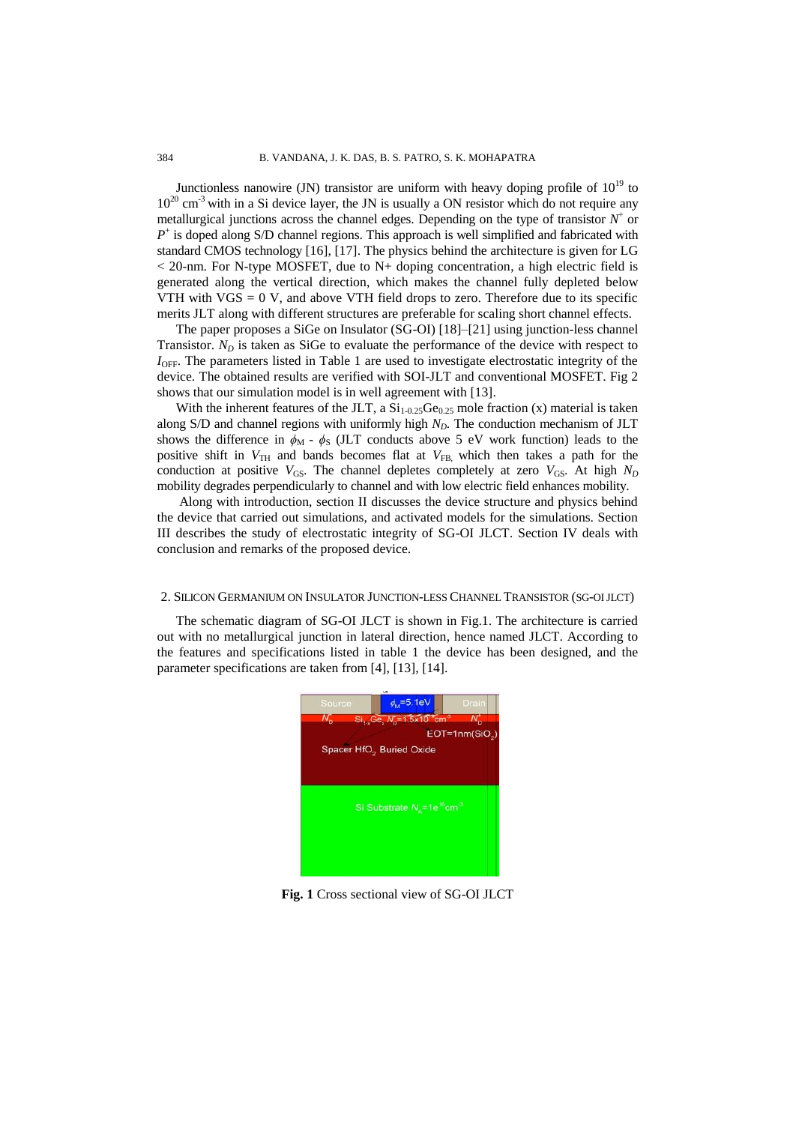Junctionless nanowire (JN) transistor are uniform with heavy doping profile of  $10^{19}$  to  $10^{20}$  cm<sup>-3</sup> with in a Si device layer, the JN is usually a ON resistor which do not require any metallurgical junctions across the channel edges. Depending on the type of transistor  $N^+$  or  $P^+$  is doped along S/D channel regions. This approach is well simplified and fabricated with standard CMOS technology [16], [17]. The physics behind the architecture is given for LG  $<$  20-nm. For N-type MOSFET, due to N+ doping concentration, a high electric field is generated along the vertical direction, which makes the channel fully depleted below VTH with  $VGS = 0$  V, and above VTH field drops to zero. Therefore due to its specific merits JLT along with different structures are preferable for scaling short channel effects.

The paper proposes a SiGe on Insulator (SG-OI) [18]–[21] using junction-less channel Transistor.  $N_D$  is taken as SiGe to evaluate the performance of the device with respect to *I*<sub>OFF</sub>. The parameters listed in Table 1 are used to investigate electrostatic integrity of the device. The obtained results are verified with SOI-JLT and conventional MOSFET. Fig 2 shows that our simulation model is in well agreement with [13].

With the inherent features of the JLT, a  $Si<sub>1-0.25</sub>Ge<sub>0.25</sub>$  mole fraction (x) material is taken along S/D and channel regions with uniformly high *ND*. The conduction mechanism of JLT shows the difference in  $\phi_M$  -  $\phi_S$  (JLT conducts above 5 eV work function) leads to the positive shift in  $V_{TH}$  and bands becomes flat at  $V_{FB}$ , which then takes a path for the conduction at positive  $V_{GS}$ . The channel depletes completely at zero  $V_{GS}$ . At high  $N_D$ mobility degrades perpendicularly to channel and with low electric field enhances mobility.

Along with introduction, section II discusses the device structure and physics behind the device that carried out simulations, and activated models for the simulations. Section III describes the study of electrostatic integrity of SG-OI JLCT. Section IV deals with conclusion and remarks of the proposed device.

#### 2. SILICON GERMANIUM ON INSULATOR JUNCTION-LESS CHANNEL TRANSISTOR (SG-OI JLCT)

The schematic diagram of SG-OI JLCT is shown in Fig.1. The architecture is carried out with no metallurgical junction in lateral direction, hence named JLCT. According to the features and specifications listed in table 1 the device has been designed, and the parameter specifications are taken from [4], [13], [14].



**Fig. 1** Cross sectional view of SG-OI JLCT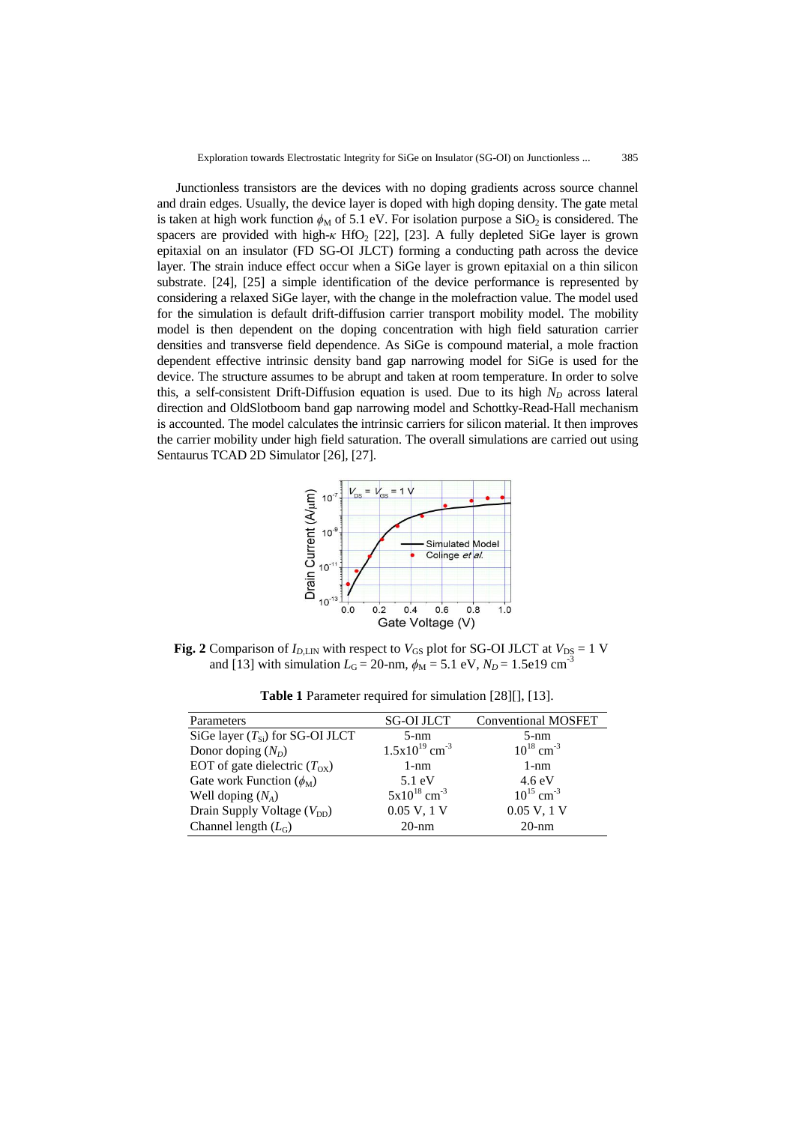Junctionless transistors are the devices with no doping gradients across source channel and drain edges. Usually, the device layer is doped with high doping density. The gate metal is taken at high work function  $\phi_M$  of 5.1 eV. For isolation purpose a SiO<sub>2</sub> is considered. The spacers are provided with high- $\kappa$  HfO<sub>2</sub> [22], [23]. A fully depleted SiGe layer is grown epitaxial on an insulator (FD SG-OI JLCT) forming a conducting path across the device layer. The strain induce effect occur when a SiGe layer is grown epitaxial on a thin silicon substrate. [24], [25] a simple identification of the device performance is represented by considering a relaxed SiGe layer, with the change in the molefraction value. The model used for the simulation is default drift-diffusion carrier transport mobility model. The mobility model is then dependent on the doping concentration with high field saturation carrier densities and transverse field dependence. As SiGe is compound material, a mole fraction dependent effective intrinsic density band gap narrowing model for SiGe is used for the device. The structure assumes to be abrupt and taken at room temperature. In order to solve this, a self-consistent Drift-Diffusion equation is used. Due to its high  $N_D$  across lateral direction and OldSlotboom band gap narrowing model and Schottky-Read-Hall mechanism is accounted. The model calculates the intrinsic carriers for silicon material. It then improves the carrier mobility under high field saturation. The overall simulations are carried out using Sentaurus TCAD 2D Simulator [26], [27].



**Fig. 2** Comparison of  $I_{D,\text{LIN}}$  with respect to  $V_{GS}$  plot for SG-OI JLCT at  $V_{DS} = 1$  V and [13] with simulation  $L_G = 20$ -nm,  $\phi_M = 5.1$  eV,  $N_D = 1.5e19$  cm<sup>-3</sup>

| Parameters                           | <b>SG-OI JLCT</b>              | <b>Conventional MOSFET</b> |
|--------------------------------------|--------------------------------|----------------------------|
| SiGe layer $(T_{Si})$ for SG-OI JLCT | $5-nm$                         | $5-nm$                     |
| Donor doping $(N_D)$                 | $1.5x10^{19}$ cm <sup>-3</sup> | $10^{18}$ cm <sup>-3</sup> |
| EOT of gate dielectric $(T_{OX})$    | $1-nm$                         | $1-nm$                     |
| Gate work Function $(\phi_M)$        | $5.1 \text{ eV}$               | $4.6 \text{ eV}$           |
| Well doping $(N_A)$                  | $5x10^{18}$ cm <sup>-3</sup>   | $10^{15}$ cm <sup>-3</sup> |
| Drain Supply Voltage $(V_{DD})$      | 0.05 V, 1 V                    | 0.05 V, 1 V                |
| Channel length $(L_G)$               | $20-nm$                        | $20-nm$                    |

**Table 1** Parameter required for simulation [28][], [13].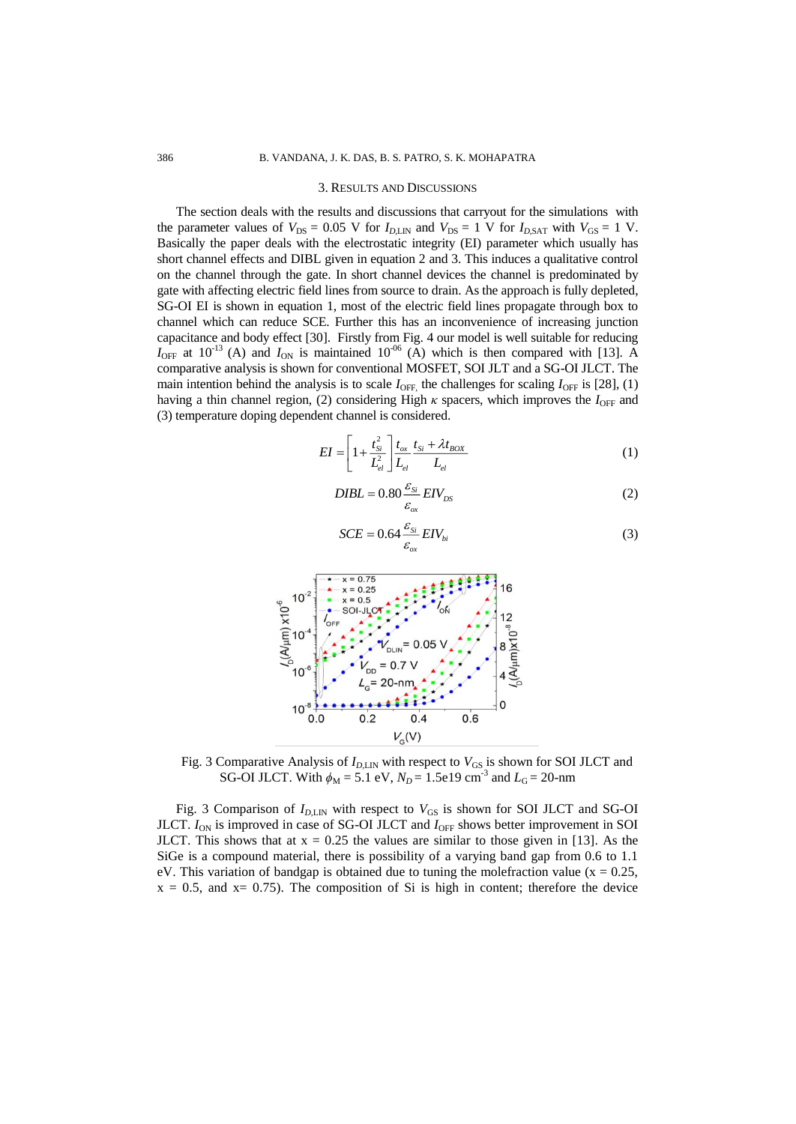#### 3. RESULTS AND DISCUSSIONS

The section deals with the results and discussions that carryout for the simulations with the parameter values of  $V_{DS} = 0.05$  V for  $I_{D,LIN}$  and  $V_{DS} = 1$  V for  $I_{D,SAT}$  with  $V_{GS} = 1$  V. Basically the paper deals with the electrostatic integrity (EI) parameter which usually has short channel effects and DIBL given in equation 2 and 3. This induces a qualitative control on the channel through the gate. In short channel devices the channel is predominated by gate with affecting electric field lines from source to drain. As the approach is fully depleted, SG-OI EI is shown in equation 1, most of the electric field lines propagate through box to channel which can reduce SCE. Further this has an inconvenience of increasing junction capacitance and body effect [30]. Firstly from Fig. 4 our model is well suitable for reducing  $I_{\text{OFF}}$  at 10<sup>-13</sup> (A) and  $I_{\text{ON}}$  is maintained 10<sup>-06</sup> (A) which is then compared with [13]. A comparative analysis is shown for conventional MOSFET, SOI JLT and a SG-OI JLCT. The main intention behind the analysis is to scale  $I_{\text{OFF}}$ , the challenges for scaling  $I_{\text{OFF}}$  is [28], (1) having a thin channel region, (2) considering High *κ* spacers, which improves the *I*<sub>OFF</sub> and (3) temperature doping dependent channel is considered.

$$
EI = \left[1 + \frac{t_{Si}^2}{L_{el}^2}\right] \frac{t_{ox}}{L_{el}} \frac{t_{Si} + \lambda t_{BOX}}{L_{el}}
$$
(1)

$$
DIBL = 0.80 \frac{\varepsilon_{Si}}{\varepsilon_{ox}} EIV_{DS}
$$
 (2)

$$
SCE = 0.64 \frac{\varepsilon_{si}}{\varepsilon_{ox}} EIV_{bi}
$$
 (3)



Fig. 3 Comparative Analysis of  $I_{D, \text{LIN}}$  with respect to  $V_{GS}$  is shown for SOI JLCT and SG-OI JLCT. With  $\phi_M = 5.1 \text{ eV}$ ,  $N_D = 1.5 \text{ eV}$  cm<sup>-3</sup> and  $L_G = 20$ -nm

Fig. 3 Comparison of  $I_{D, \text{LIN}}$  with respect to  $V_{GS}$  is shown for SOI JLCT and SG-OI JLCT.  $I_{ON}$  is improved in case of SG-OI JLCT and  $I_{OFF}$  shows better improvement in SOI JLCT. This shows that at  $x = 0.25$  the values are similar to those given in [13]. As the SiGe is a compound material, there is possibility of a varying band gap from 0.6 to 1.1 eV. This variation of bandgap is obtained due to tuning the mole fraction value ( $x = 0.25$ ,  $x = 0.5$ , and  $x = 0.75$ ). The composition of Si is high in content; therefore the device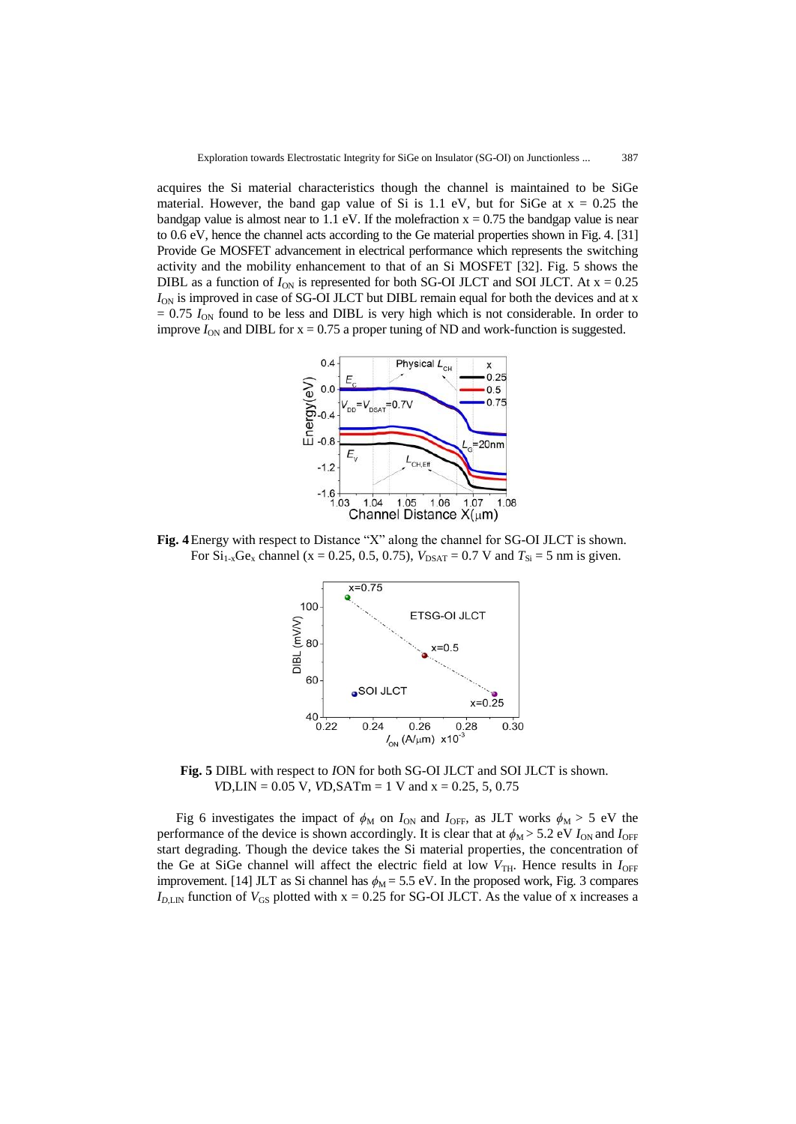acquires the Si material characteristics though the channel is maintained to be SiGe material. However, the band gap value of Si is 1.1 eV, but for SiGe at  $x = 0.25$  the bandgap value is almost near to 1.1 eV. If the mole fraction  $x = 0.75$  the bandgap value is near to 0.6 eV, hence the channel acts according to the Ge material properties shown in Fig. 4. [31] Provide Ge MOSFET advancement in electrical performance which represents the switching activity and the mobility enhancement to that of an Si MOSFET [32]. Fig. 5 shows the DIBL as a function of  $I_{ON}$  is represented for both SG-OI JLCT and SOI JLCT. At  $x = 0.25$ *I*<sub>ON</sub> is improved in case of SG-OI JLCT but DIBL remain equal for both the devices and at x  $= 0.75$   $I_{ON}$  found to be less and DIBL is very high which is not considerable. In order to improve  $I_{ON}$  and DIBL for  $x = 0.75$  a proper tuning of ND and work-function is suggested.



**Fig. 4**Energy with respect to Distance "X" along the channel for SG-OI JLCT is shown. For  $Si_{1-x}Ge_x$  channel (x = 0.25, 0.5, 0.75),  $V_{DSAT} = 0.7$  V and  $T_{Si} = 5$  nm is given.



**Fig. 5** DIBL with respect to *I*ON for both SG-OI JLCT and SOI JLCT is shown. *V*D,LIN = 0.05 V, *V*D,SATm = 1 V and x = 0.25, 5, 0.75

Fig 6 investigates the impact of  $\phi_M$  on  $I_{ON}$  and  $I_{OFF}$ , as JLT works  $\phi_M > 5$  eV the performance of the device is shown accordingly. It is clear that at  $\phi_M > 5.2$  eV  $I_{ON}$  and  $I_{OFF}$ start degrading. Though the device takes the Si material properties, the concentration of the Ge at SiGe channel will affect the electric field at low  $V_{\text{TH}}$ . Hence results in  $I_{\text{OFF}}$ improvement. [14] JLT as Si channel has  $\phi_M = 5.5$  eV. In the proposed work, Fig. 3 compares  $I_{D, \text{LIN}}$  function of  $V_{\text{GS}}$  plotted with x = 0.25 for SG-OI JLCT. As the value of x increases a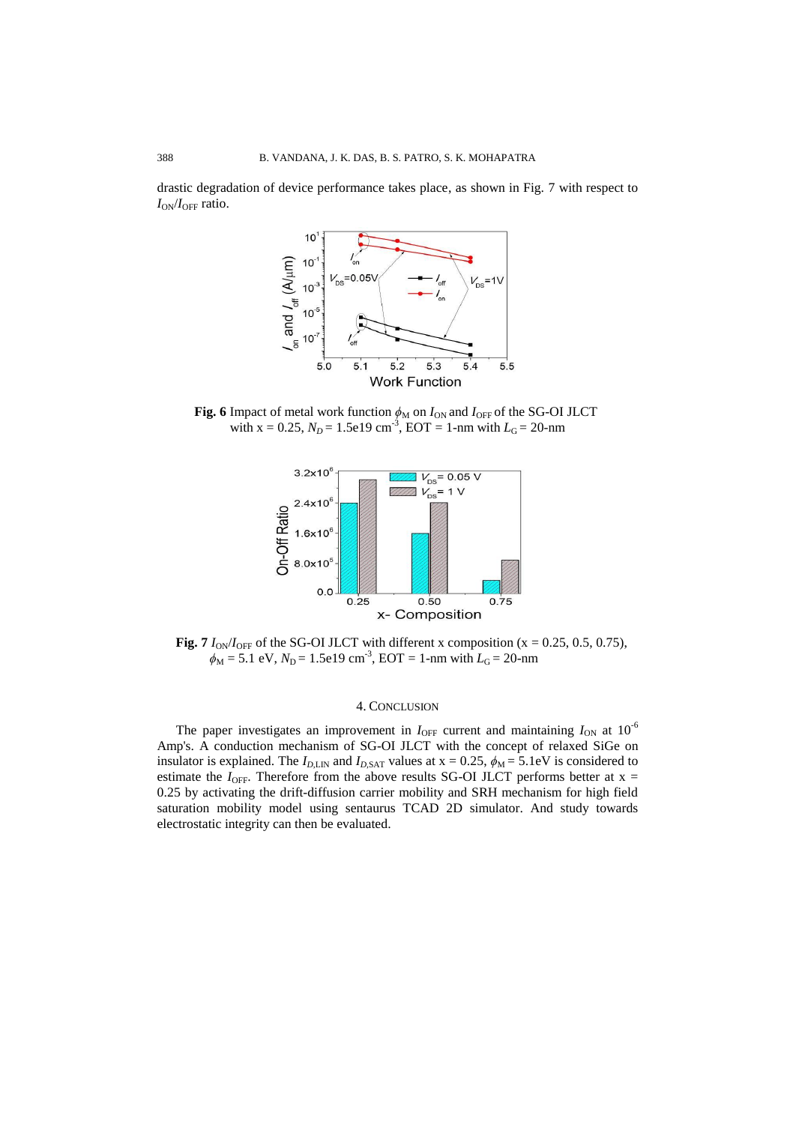drastic degradation of device performance takes place, as shown in Fig. 7 with respect to *I*<sub>ON</sub>/*I*<sub>OFF</sub> ratio.



**Fig. 6** Impact of metal work function  $\phi_M$  on  $I_{ON}$  and  $I_{OFF}$  of the SG-OI JLCT with  $x = 0.25$ ,  $N_D = 1.5e19$  cm<sup>-3</sup>, EOT = 1-nm with  $L_G = 20$ -nm



**Fig. 7**  $I_{ON}/I_{OFF}$  of the SG-OI JLCT with different x composition (x = 0.25, 0.5, 0.75),  $\phi_{\rm M}$  = 5.1 eV,  $N_{\rm D}$  = 1.5e19 cm<sup>-3</sup>, EOT = 1-nm with  $L_{\rm G}$  = 20-nm

## 4. CONCLUSION

The paper investigates an improvement in  $I_{\text{OFF}}$  current and maintaining  $I_{\text{ON}}$  at  $10^{-6}$ Amp's. A conduction mechanism of SG-OI JLCT with the concept of relaxed SiGe on insulator is explained. The  $I_{D,LM}$  and  $I_{D,SAT}$  values at  $x = 0.25$ ,  $\phi_M = 5.1$ eV is considered to estimate the  $I_{\text{OFF}}$ . Therefore from the above results SG-OI JLCT performs better at x = 0.25 by activating the drift-diffusion carrier mobility and SRH mechanism for high field saturation mobility model using sentaurus TCAD 2D simulator. And study towards electrostatic integrity can then be evaluated.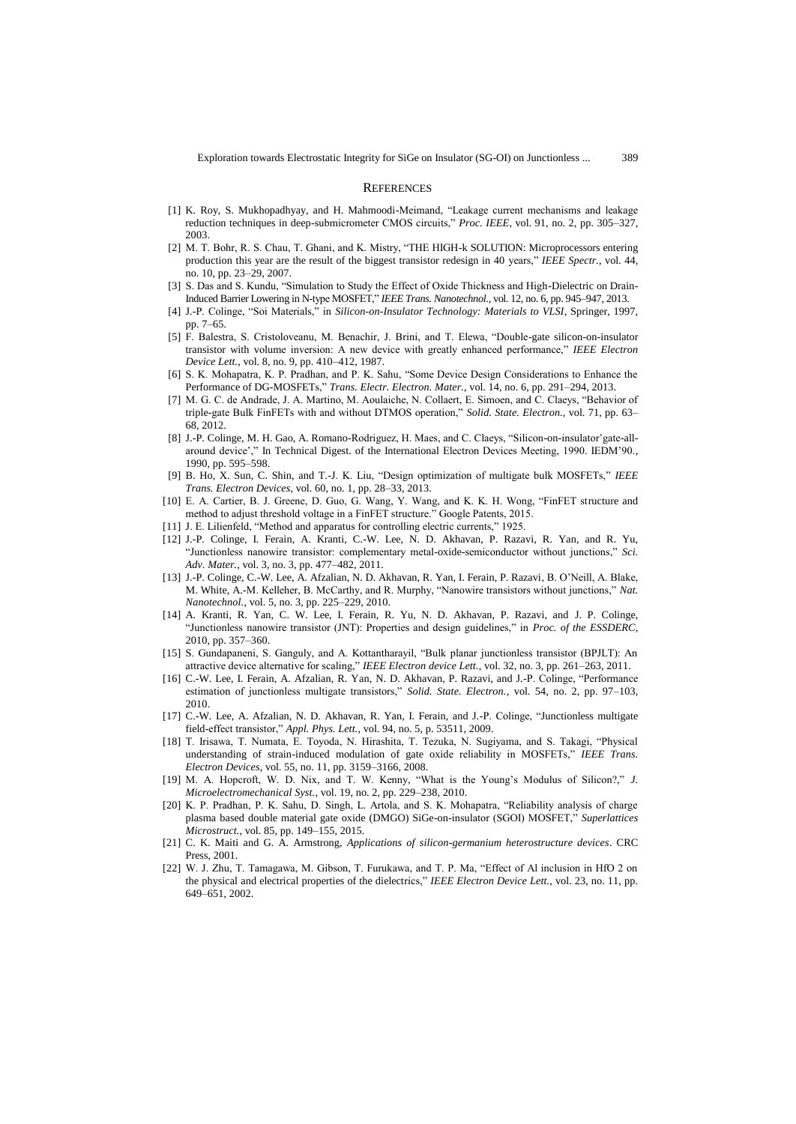#### **REFERENCES**

- [1] K. Roy, S. Mukhopadhyay, and H. Mahmoodi-Meimand, "Leakage current mechanisms and leakage reduction techniques in deep-submicrometer CMOS circuits," *Proc. IEEE*, vol. 91, no. 2, pp. 305–327, 2003.
- [2] M. T. Bohr, R. S. Chau, T. Ghani, and K. Mistry, "THE HIGH-k SOLUTION: Microprocessors entering production this year are the result of the biggest transistor redesign in 40 years," *IEEE Spectr.*, vol. 44, no. 10, pp. 23–29, 2007.
- [3] S. Das and S. Kundu, "Simulation to Study the Effect of Oxide Thickness and High-Dielectric on Drain-Induced Barrier Lowering in N-type MOSFET," *IEEE Trans. Nanotechnol.*, vol. 12, no. 6, pp. 945–947, 2013.
- [4] J.-P. Colinge, "Soi Materials," in *Silicon-on-Insulator Technology: Materials to VLSI*, Springer, 1997, pp. 7–65.
- [5] F. Balestra, S. Cristoloveanu, M. Benachir, J. Brini, and T. Elewa, "Double-gate silicon-on-insulator transistor with volume inversion: A new device with greatly enhanced performance," *IEEE Electron Device Lett.*, vol. 8, no. 9, pp. 410–412, 1987.
- [6] S. K. Mohapatra, K. P. Pradhan, and P. K. Sahu, "Some Device Design Considerations to Enhance the Performance of DG-MOSFETs," *Trans. Electr. Electron. Mater.*, vol. 14, no. 6, pp. 291–294, 2013.
- [7] M. G. C. de Andrade, J. A. Martino, M. Aoulaiche, N. Collaert, E. Simoen, and C. Claeys, "Behavior of triple-gate Bulk FinFETs with and without DTMOS operation," *Solid. State. Electron.*, vol. 71, pp. 63– 68, 2012.
- [8] J.-P. Colinge, M. H. Gao, A. Romano-Rodriguez, H. Maes, and C. Claeys, "Silicon-on-insulator'gate-allaround device'," In Technical Digest. of the International Electron Devices Meeting, 1990. IEDM'90., 1990, pp. 595–598.
- [9] B. Ho, X. Sun, C. Shin, and T.-J. K. Liu, "Design optimization of multigate bulk MOSFETs," *IEEE Trans. Electron Devices*, vol. 60, no. 1, pp. 28–33, 2013.
- [10] E. A. Cartier, B. J. Greene, D. Guo, G. Wang, Y. Wang, and K. K. H. Wong, "FinFET structure and method to adjust threshold voltage in a FinFET structure." Google Patents, 2015.
- [11] J. E. Lilienfeld, "Method and apparatus for controlling electric currents," 1925.
- [12] J.-P. Colinge, I. Ferain, A. Kranti, C.-W. Lee, N. D. Akhavan, P. Razavi, R. Yan, and R. Yu, "Junctionless nanowire transistor: complementary metal-oxide-semiconductor without junctions," *Sci. Adv. Mater.*, vol. 3, no. 3, pp. 477–482, 2011.
- [13] J.-P. Colinge, C.-W. Lee, A. Afzalian, N. D. Akhavan, R. Yan, I. Ferain, P. Razavi, B. O'Neill, A. Blake, M. White, A.-M. Kelleher, B. McCarthy, and R. Murphy, "Nanowire transistors without junctions," *Nat. Nanotechnol.*, vol. 5, no. 3, pp. 225–229, 2010.
- [14] A. Kranti, R. Yan, C. W. Lee, I. Ferain, R. Yu, N. D. Akhavan, P. Razavi, and J. P. Colinge, "Junctionless nanowire transistor (JNT): Properties and design guidelines," in *Proc. of the ESSDERC*, 2010, pp. 357–360.
- [15] S. Gundapaneni, S. Ganguly, and A. Kottantharayil, "Bulk planar junctionless transistor (BPJLT): An attractive device alternative for scaling," *IEEE Electron device Lett.*, vol. 32, no. 3, pp. 261–263, 2011.
- [16] C.-W. Lee, I. Ferain, A. Afzalian, R. Yan, N. D. Akhavan, P. Razavi, and J.-P. Colinge, "Performance estimation of junctionless multigate transistors," *Solid. State. Electron.*, vol. 54, no. 2, pp. 97–103, 2010.
- [17] C.-W. Lee, A. Afzalian, N. D. Akhavan, R. Yan, I. Ferain, and J.-P. Colinge, "Junctionless multigate field-effect transistor," *Appl. Phys. Lett.*, vol. 94, no. 5, p. 53511, 2009.
- [18] T. Irisawa, T. Numata, E. Toyoda, N. Hirashita, T. Tezuka, N. Sugiyama, and S. Takagi, "Physical understanding of strain-induced modulation of gate oxide reliability in MOSFETs," *IEEE Trans. Electron Devices*, vol. 55, no. 11, pp. 3159–3166, 2008.
- [19] M. A. Hopcroft, W. D. Nix, and T. W. Kenny, "What is the Young's Modulus of Silicon?," *J. Microelectromechanical Syst.*, vol. 19, no. 2, pp. 229–238, 2010.
- [20] K. P. Pradhan, P. K. Sahu, D. Singh, L. Artola, and S. K. Mohapatra, "Reliability analysis of charge plasma based double material gate oxide (DMGO) SiGe-on-insulator (SGOI) MOSFET," *Superlattices Microstruct.*, vol. 85, pp. 149–155, 2015.
- [21] C. K. Maiti and G. A. Armstrong, *Applications of silicon-germanium heterostructure devices*. CRC Press, 2001.
- [22] W. J. Zhu, T. Tamagawa, M. Gibson, T. Furukawa, and T. P. Ma, "Effect of Al inclusion in HfO 2 on the physical and electrical properties of the dielectrics," *IEEE Electron Device Lett.*, vol. 23, no. 11, pp. 649–651, 2002.